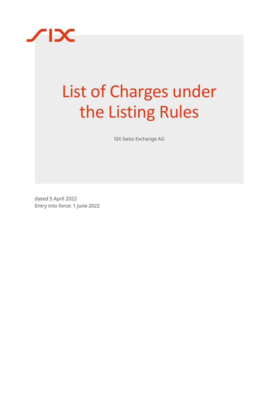

# List of Charges under the Listing Rules

SIX Swiss Exchange AG

dated 5 April 2022 Entry into force: 1 June 2022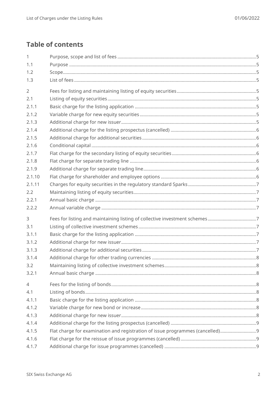# **Table of contents**

| $\mathbf{1}$   |                                                                               |  |
|----------------|-------------------------------------------------------------------------------|--|
| 1.1            |                                                                               |  |
| 1.2            |                                                                               |  |
| 1.3            |                                                                               |  |
| $\overline{2}$ |                                                                               |  |
| 2.1            |                                                                               |  |
| 2.1.1          |                                                                               |  |
| 2.1.2          |                                                                               |  |
| 2.1.3          |                                                                               |  |
| 2.1.4          |                                                                               |  |
| 2.1.5          |                                                                               |  |
| 2.1.6          |                                                                               |  |
| 2.1.7          |                                                                               |  |
| 2.1.8          |                                                                               |  |
| 2.1.9          |                                                                               |  |
| 2.1.10         |                                                                               |  |
| 2.1.11         |                                                                               |  |
| 2.2            |                                                                               |  |
| 2.2.1          |                                                                               |  |
| 2.2.2          |                                                                               |  |
| $\overline{3}$ |                                                                               |  |
| 3.1            |                                                                               |  |
| 3.1.1          |                                                                               |  |
| 3.1.2          |                                                                               |  |
| 3.1.3          |                                                                               |  |
| 3.1.4          |                                                                               |  |
| 3.2            |                                                                               |  |
| 3.2.1          |                                                                               |  |
| $\overline{4}$ |                                                                               |  |
| 4.1            |                                                                               |  |
| 4.1.1          |                                                                               |  |
| 4.1.2          |                                                                               |  |
| 4.1.3          |                                                                               |  |
| 4.1.4          |                                                                               |  |
| 4.1.5          | Flat charge for examination and registration of issue programmes (cancelled)9 |  |
| 4.1.6          |                                                                               |  |
| 4.1.7          |                                                                               |  |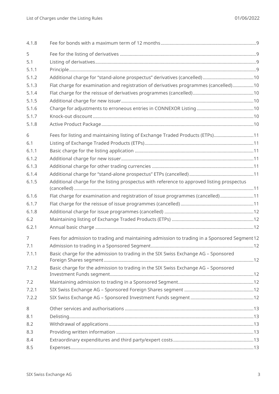| 4.1.8          |                                                                                             |  |
|----------------|---------------------------------------------------------------------------------------------|--|
| 5              |                                                                                             |  |
| 5.1            |                                                                                             |  |
| 5.1.1          |                                                                                             |  |
| 5.1.2          |                                                                                             |  |
| 5.1.3          | Flat charge for examination and registration of derivatives programmes (cancelled)10        |  |
| 5.1.4          |                                                                                             |  |
| 5.1.5          |                                                                                             |  |
| 5.1.6          |                                                                                             |  |
| 5.1.7          |                                                                                             |  |
| 5.1.8          |                                                                                             |  |
| 6              | Fees for listing and maintaining listing of Exchange Traded Products (ETPs)11               |  |
| 6.1            |                                                                                             |  |
| 6.1.1          |                                                                                             |  |
| 6.1.2          |                                                                                             |  |
| 6.1.3          |                                                                                             |  |
| 6.1.4          |                                                                                             |  |
| 6.1.5          | Additional charge for the listing prospectus with reference to approved listing prospectus  |  |
| 6.1.6          | Flat charge for examination and registration of issue programmes (cancelled)11              |  |
| 6.1.7          |                                                                                             |  |
| 6.1.8          |                                                                                             |  |
| 6.2            |                                                                                             |  |
| 6.2.1          |                                                                                             |  |
| $\overline{7}$ | Fees for admission to trading and maintaining admission to trading in a Sponsored Segment12 |  |
| 7.1            |                                                                                             |  |
| 7.1.1          | Basic charge for the admission to trading in the SIX Swiss Exchange AG - Sponsored          |  |
| 7.1.2          | Basic charge for the admission to trading in the SIX Swiss Exchange AG - Sponsored          |  |
| 7.2            |                                                                                             |  |
| 7.2.1          |                                                                                             |  |
| 7.2.2          |                                                                                             |  |
| 8              |                                                                                             |  |
| 8.1            |                                                                                             |  |
| 8.2            |                                                                                             |  |
| 8.3            |                                                                                             |  |
| 8.4            |                                                                                             |  |
| 8.5            |                                                                                             |  |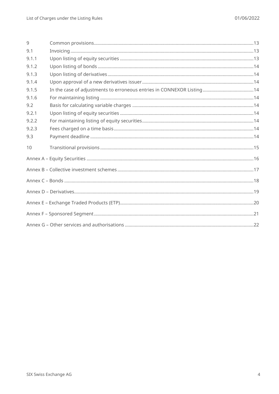| 9     |  |  |  |  |
|-------|--|--|--|--|
| 9.1   |  |  |  |  |
| 9.1.1 |  |  |  |  |
| 9.1.2 |  |  |  |  |
| 9.1.3 |  |  |  |  |
| 9.1.4 |  |  |  |  |
| 9.1.5 |  |  |  |  |
| 9.1.6 |  |  |  |  |
| 9.2   |  |  |  |  |
| 9.2.1 |  |  |  |  |
| 9.2.2 |  |  |  |  |
| 9.2.3 |  |  |  |  |
| 9.3   |  |  |  |  |
| 10    |  |  |  |  |
|       |  |  |  |  |
|       |  |  |  |  |
|       |  |  |  |  |
|       |  |  |  |  |
|       |  |  |  |  |
|       |  |  |  |  |
|       |  |  |  |  |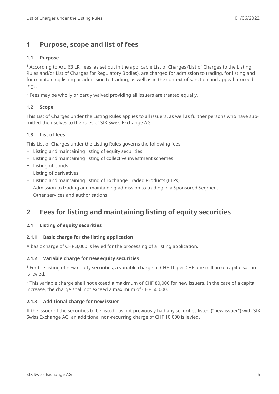## <span id="page-4-0"></span>**1 Purpose, scope and list of fees**

#### <span id="page-4-1"></span>**1.1 Purpose**

<sup>1</sup> According to Art. 63 LR, fees, as set out in the applicable List of Charges (List of Charges to the Listing Rules and/or List of Charges for Regulatory Bodies), are charged for admission to trading, for listing and for maintaining listing or admission to trading, as well as in the context of sanction and appeal proceedings.

<span id="page-4-2"></span> $2$  Fees may be wholly or partly waived providing all issuers are treated equally.

#### **1.2 Scope**

This List of Charges under the Listing Rules applies to all issuers, as well as further persons who have submitted themselves to the rules of SIX Swiss Exchange AG.

#### <span id="page-4-3"></span>**1.3 List of fees**

This List of Charges under the Listing Rules governs the following fees:

- ‒ Listing and maintaining listing of equity securities
- ‒ Listing and maintaining listing of collective investment schemes
- ‒ Listing of bonds
- ‒ Listing of derivatives
- ‒ Listing and maintaining listing of Exchange Traded Products (ETPs)
- ‒ Admission to trading and maintaining admission to trading in a Sponsored Segment
- <span id="page-4-4"></span>‒ Other services and authorisations

## **2 Fees for listing and maintaining listing of equity securities**

#### <span id="page-4-5"></span>**2.1 Listing of equity securities**

#### <span id="page-4-6"></span>**2.1.1 Basic charge for the listing application**

A basic charge of CHF 3,000 is levied for the processing of a listing application.

#### <span id="page-4-7"></span>**2.1.2 Variable charge for new equity securities**

<sup>1</sup> For the listing of new equity securities, a variable charge of CHF 10 per CHF one million of capitalisation is levied.

<sup>2</sup> This variable charge shall not exceed a maximum of CHF 80,000 for new issuers. In the case of a capital increase, the charge shall not exceed a maximum of CHF 50,000.

#### <span id="page-4-8"></span>**2.1.3 Additional charge for new issuer**

If the issuer of the securities to be listed has not previously had any securities listed ("new issuer") with SIX Swiss Exchange AG, an additional non-recurring charge of CHF 10,000 is levied.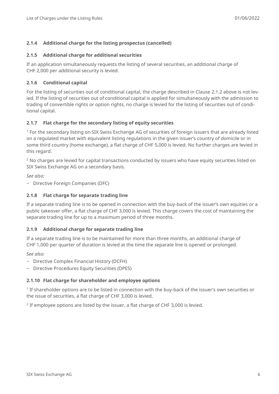#### <span id="page-5-0"></span>**2.1.4 Additional charge for the listing prospectus (cancelled)**

#### <span id="page-5-1"></span>**2.1.5 Additional charge for additional securities**

If an application simultaneously requests the listing of several securities, an additional charge of CHF 2,000 per additional security is levied.

#### <span id="page-5-2"></span>**2.1.6 Conditional capital**

For the listing of securities out of conditional capital, the charge described in Clause [2.1.2](#page-4-7) above is not levied. If the listing of securities out of conditional capital is applied for simultaneously with the admission to trading of convertible rights or option rights, no charge is levied for the listing of securities out of conditional capital.

#### <span id="page-5-3"></span>**2.1.7 Flat charge for the secondary listing of equity securities**

<sup>1</sup> For the secondary listing on SIX Swiss Exchange AG of securities of foreign issuers that are already listed on a regulated market with equivalent listing regulations in the given issuer's country of domicile or in some third country (home exchange), a flat charge of CHF 5,000 is levied. No further charges are levied in this regard.

<sup>2</sup> No charges are levied for capital transactions conducted by issuers who have equity securities listed on SIX Swiss Exchange AG on a secondary basis.

*See also:*

‒ Directive Foreign Companies (DFC)

#### <span id="page-5-4"></span>**2.1.8 Flat charge for separate trading line**

If a separate trading line is to be opened in connection with the buy-back of the issuer's own equities or a public takeover offer, a flat charge of CHF 3,000 is levied. This charge covers the cost of maintaining the separate trading line for up to a maximum period of three months.

#### <span id="page-5-5"></span>**2.1.9 Additional charge for separate trading line**

If a separate trading line is to be maintained for more than three months, an additional charge of CHF 1,000 per quarter of duration is levied at the time the separate line is opened or prolonged.

*See also:*

- ‒ Directive Complex Financial History (DCFH)
- ‒ Directive Procedures Equity Securities (DPES)

#### <span id="page-5-6"></span>**2.1.10 Flat charge for shareholder and employee options**

<sup>1</sup> If shareholder options are to be listed in connection with the buy-back of the issuer's own securities or the issue of securities, a flat charge of CHF 3,000 is levied.

 $2$  If employee options are listed by the issuer, a flat charge of CHF 3,000 is levied.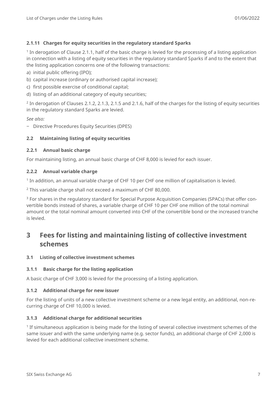#### <span id="page-6-0"></span>**2.1.11 Charges for equity securities in the regulatory standard Sparks**

1 In derogation of [Clause 2.1.1,](#page-4-6) half of the basic charge is levied for the processing of a listing application in connection with a listing of equity securities in the regulatory standard Sparks if and to the extent that the listing application concerns one of the following transactions:

a) initial public offering (IPO);

- b) capital increase (ordinary or authorised capital increase);
- c) first possible exercise of conditional capital;
- d) listing of an additional category of equity securities;

 $2$  In derogation of Clauses [2.1.2,](#page-4-7) [2.1.3,](#page-4-8) [2.1.5](#page-5-1) and [2.1.6,](#page-5-2) half of the charges for the listing of equity securities in the regulatory standard Sparks are levied.

*See also:*

‒ Directive Procedures Equity Securities (DPES)

#### <span id="page-6-1"></span>**2.2 Maintaining listing of equity securities**

#### <span id="page-6-2"></span>**2.2.1 Annual basic charge**

For maintaining listing, an annual basic charge of CHF 8,000 is levied for each issuer.

#### <span id="page-6-3"></span>**2.2.2 Annual variable charge**

<sup>1</sup> In addition, an annual variable charge of CHF 10 per CHF one million of capitalisation is levied.

<sup>2</sup> This variable charge shall not exceed a maximum of CHF 80,000.

<sup>3</sup> For shares in the regulatory standard for Special Purpose Acquisition Companies (SPACs) that offer convertible bonds instead of shares, a variable charge of CHF 10 per CHF one million of the total nominal amount or the total nominal amount converted into CHF of the convertible bond or the increased tranche is levied.

## <span id="page-6-4"></span>**3 Fees for listing and maintaining listing of collective investment schemes**

#### <span id="page-6-5"></span>**3.1 Listing of collective investment schemes**

#### <span id="page-6-6"></span>**3.1.1 Basic charge for the listing application**

<span id="page-6-7"></span>A basic charge of CHF 3,000 is levied for the processing of a listing application.

#### **3.1.2 Additional charge for new issuer**

For the listing of units of a new collective investment scheme or a new legal entity, an additional, non-recurring charge of CHF 10,000 is levied.

#### <span id="page-6-8"></span>**3.1.3 Additional charge for additional securities**

1 If simultaneous application is being made for the listing of several collective investment schemes of the same issuer and with the same underlying name (e.g. sector funds), an additional charge of CHF 2,000 is levied for each additional collective investment scheme.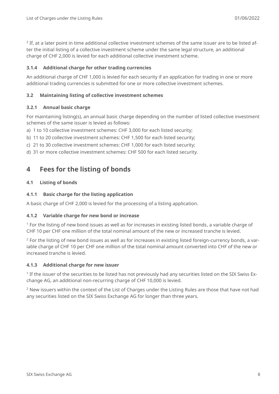$2$  If, at a later point in time additional collective investment schemes of the same issuer are to be listed after the initial listing of a collective investment scheme under the same legal structure, an additional charge of CHF 2,000 is levied for each additional collective investment scheme.

#### <span id="page-7-0"></span>**3.1.4 Additional charge for other trading currencies**

An additional charge of CHF 1,000 is levied for each security if an application for trading in one or more additional trading currencies is submitted for one or more collective investment schemes.

#### <span id="page-7-1"></span>**3.2 Maintaining listing of collective investment schemes**

#### <span id="page-7-2"></span>**3.2.1 Annual basic charge**

For maintaining listing(s), an annual basic charge depending on the number of listed collective investment schemes of the same issuer is levied as follows:

a) 1 to 10 collective investment schemes: CHF 3,000 for each listed security;

- b) 11 to 20 collective investment schemes: CHF 1,500 for each listed security;
- c) 21 to 30 collective investment schemes: CHF 1,000 for each listed security;
- <span id="page-7-3"></span>d) 31 or more collective investment schemes: CHF 500 for each listed security.

## **4 Fees for the listing of bonds**

#### <span id="page-7-4"></span>**4.1 Listing of bonds**

#### <span id="page-7-5"></span>**4.1.1 Basic charge for the listing application**

<span id="page-7-6"></span>A basic charge of CHF 2,000 is levied for the processing of a listing application.

#### **4.1.2 Variable charge for new bond or increase**

<sup>1</sup> For the listing of new bond issues as well as for increases in existing listed bonds, a variable charge of CHF 10 per CHF one million of the total nominal amount of the new or increased tranche is levied.

<sup>2</sup> For the listing of new bond issues as well as for increases in existing listed foreign-currency bonds, a variable charge of CHF 10 per CHF one million of the total nominal amount converted into CHF of the new or increased tranche is levied.

#### <span id="page-7-7"></span>**4.1.3 Additional charge for new issuer**

<sup>1</sup> If the issuer of the securities to be listed has not previously had any securities listed on the SIX Swiss Exchange AG, an additional non-recurring charge of CHF 10,000 is levied.

<sup>2</sup> New issuers within the context of the List of Charges under the Listing Rules are those that have not had any securities listed on the SIX Swiss Exchange AG for longer than three years.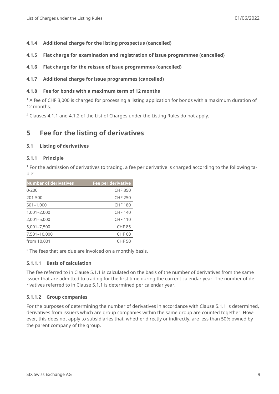- <span id="page-8-0"></span>**4.1.4 Additional charge for the listing prospectus (cancelled)**
- <span id="page-8-1"></span>**4.1.5 Flat charge for examination and registration of issue programmes (cancelled)**
- <span id="page-8-2"></span>**4.1.6 Flat charge for the reissue of issue programmes (cancelled)**
- <span id="page-8-3"></span>**4.1.7 Additional charge for issue programmes (cancelled)**

#### <span id="page-8-4"></span>**4.1.8 Fee for bonds with a maximum term of 12 months**

<sup>1</sup> A fee of CHF 3,000 is charged for processing a listing application for bonds with a maximum duration of 12 months.

<span id="page-8-5"></span><sup>2</sup> Clauses [4.1.1](#page-7-5) and [4.1.2](#page-7-6) of the List of Charges under the Listing Rules do not apply.

## **5 Fee for the listing of derivatives**

#### <span id="page-8-6"></span>**5.1 Listing of derivatives**

#### <span id="page-8-7"></span>**5.1.1 Principle**

<sup>1</sup> For the admission of derivatives to trading, a fee per derivative is charged according to the following table:

| <b>Number of derivatives</b> | Fee per derivative |
|------------------------------|--------------------|
| $0 - 200$                    | <b>CHF 350</b>     |
| 201-500                      | <b>CHF 250</b>     |
| $501 - 1,000$                | <b>CHF 180</b>     |
| 1,001-2,000                  | <b>CHF 140</b>     |
| 2,001-5,000                  | <b>CHF 110</b>     |
| 5,001-7,500                  | <b>CHF 85</b>      |
| 7,501-10,000                 | <b>CHF 60</b>      |
| from 10,001                  | CHF 50             |

<sup>2</sup> The fees that are due are invoiced on a monthly basis.

#### **5.1.1.1 Basis of calculation**

The fee referred to in Clause [5.1.1](#page-8-7) is calculated on the basis of the number of derivatives from the same issuer that are admitted to trading for the first time during the current calendar year. The number of derivatives referred to in Clause [5.1.1](#page-8-7) is determined per calendar year.

#### **5.1.1.2 Group companies**

For the purposes of determining the number of derivatives in accordance with Clause [5.1.1](#page-8-7) is determined, derivatives from issuers which are group companies within the same group are counted together. However, this does not apply to subsidiaries that, whether directly or indirectly, are less than 50% owned by the parent company of the group.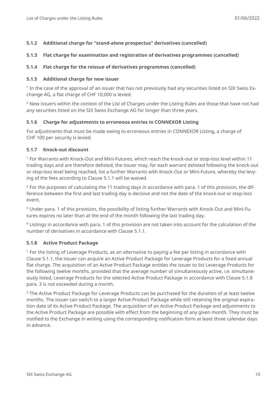#### <span id="page-9-0"></span>**5.1.2 Additional charge for "stand-alone prospectus" derivatives (cancelled)**

#### <span id="page-9-1"></span>**5.1.3 Flat charge for examination and registration of derivatives programmes (cancelled)**

#### <span id="page-9-2"></span>**5.1.4 Flat charge for the reissue of derivatives programmes (cancelled)**

#### <span id="page-9-3"></span>**5.1.5 Additional charge for new issuer**

1 In the case of the approval of an issuer that has not previously had any securities listed on SIX Swiss Exchange AG, a flat charge of CHF 10,000 is levied.

 $2$  New issuers within the context of the List of Charges under the Listing Rules are those that have not had any securities listed on the SIX Swiss Exchange AG for longer than three years.

#### <span id="page-9-4"></span>**5.1.6 Charge for adjustments to erroneous entries in CONNEXOR Listing**

For adjustments that must be made owing to erroneous entries in CONNEXOR Listing, a charge of CHF 100 per security is levied.

#### <span id="page-9-5"></span>**5.1.7 Knock-out discount**

<sup>1</sup> For Warrants with Knock-Out and Mini-Futures, which reach the knock-out or stop-loss level within 11 trading days and are therefore delisted, the issuer may, for each warrant delisted following the knock-out or stop-loss level being reached, list a further Warrants with Knock-Out or Mini-Future, whereby the levying of the fees according to Clause [5.1.1](#page-8-7) will be waived.

<sup>2</sup> For the purposes of calculating the 11 trading days in accordance with para. 1 of this provision, the difference between the first and last trading day is decisive and not the date of the knock-out or stop-loss event.

<sup>3</sup> Under para. 1 of this provision, the possibility of listing further Warrants with Knock-Out and Mini-Futures expires no later than at the end of the month following the last trading day.

<sup>4</sup> Listings in accordance with para. 1 of this provision are not taken into account for the calculation of the number of derivatives in accordance with Clause [5.1.1.](#page-8-7)

#### <span id="page-9-6"></span>**5.1.8 Active Product Package**

<sup>1</sup> For the listing of Leverage Products, as an alternative to paying a fee per listing in accordance with Clause 5.1.1, the issuer can acquire an Active Product Package for Leverage Products for a fixed annual flat charge. The acquisition of an Active Product Package entitles the issuer to list Leverage Products for the following twelve months, provided that the average number of simultaneously active, i.e. simultaneously listed, Leverage Products for the selected Active Product Package in accordance with Clause 5.1.8 para. 3 is not exceeded during a month.

 $2$  The Active Product Package for Leverage Products can be purchased for the duration of at least twelve months. The issuer can switch to a larger Active Product Package while still retaining the original expiration date of its Active Product Package. The acquisition of an Active Product Package and adjustments to the Active Product Package are possible with effect from the beginning of any given month. They must be notified to the Exchange in writing using the corresponding notification form at least three calendar days in advance.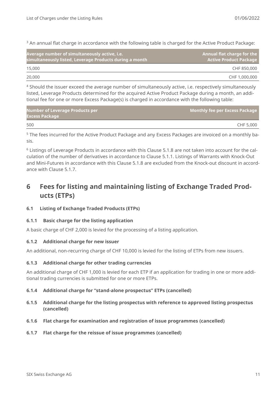<sup>3</sup> An annual flat charge in accordance with the following table is charged for the Active Product Package:

| Average number of simultaneously active, i.e.<br>simultaneously listed, Leverage Products during a month | Annual flat charge for the<br><b>Active Product Package</b> |
|----------------------------------------------------------------------------------------------------------|-------------------------------------------------------------|
| 15,000                                                                                                   | CHF 850,000                                                 |
| 20,000                                                                                                   | CHF 1,000,000                                               |

<sup>4</sup> Should the issuer exceed the average number of simultaneously active, i.e. respectively simultaneously listed, Leverage Products determined for the acquired Active Product Package during a month, an additional fee for one or more Excess Package(s) is charged in accordance with the following table:

| <b>Number of Leverage Products per</b><br><b>Excess Package</b> | Monthly fee per Excess Package |
|-----------------------------------------------------------------|--------------------------------|
| 500                                                             | CHF 5.000                      |

<sup>5</sup> The fees incurred for the Active Product Package and any Excess Packages are invoiced on a monthly basis.

<sup>6</sup> Listings of Leverage Products in accordance with this Clause 5.1.8 are not taken into account for the calculation of the number of derivatives in accordance to Clause 5.1.1. Listings of Warrants with Knock-Out and Mini-Futures in accordance with this Clause 5.1.8 are excluded from the Knock-out discount in accordance with Clause 5.1.7.

# <span id="page-10-0"></span>**6 Fees for listing and maintaining listing of Exchange Traded Products (ETPs)**

#### <span id="page-10-1"></span>**6.1 Listing of Exchange Traded Products (ETPs)**

#### <span id="page-10-2"></span>**6.1.1 Basic charge for the listing application**

<span id="page-10-3"></span>A basic charge of CHF 2,000 is levied for the processing of a listing application.

#### **6.1.2 Additional charge for new issuer**

<span id="page-10-4"></span>An additional, non-recurring charge of CHF 10,000 is levied for the listing of ETPs from new issuers.

#### **6.1.3 Additional charge for other trading currencies**

An additional charge of CHF 1,000 is levied for each ETP if an application for trading in one or more additional trading currencies is submitted for one or more ETPs.

#### <span id="page-10-5"></span>**6.1.4 Additional charge for "stand-alone prospectus" ETPs (cancelled)**

- <span id="page-10-6"></span>**6.1.5 Additional charge for the listing prospectus with reference to approved listing prospectus (cancelled)**
- <span id="page-10-7"></span>**6.1.6 Flat charge for examination and registration of issue programmes (cancelled)**
- <span id="page-10-8"></span>**6.1.7 Flat charge for the reissue of issue programmes (cancelled)**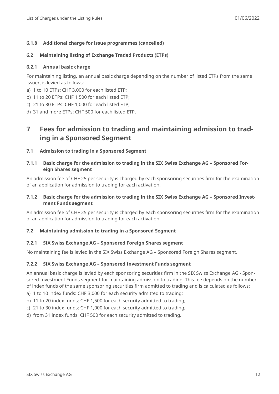#### <span id="page-11-0"></span>**6.1.8 Additional charge for issue programmes (cancelled)**

#### <span id="page-11-1"></span>**6.2 Maintaining listing of Exchange Traded Products (ETPs)**

#### <span id="page-11-2"></span>**6.2.1 Annual basic charge**

For maintaining listing, an annual basic charge depending on the number of listed ETPs from the same issuer, is levied as follows:

- a) 1 to 10 ETPs: CHF 3,000 for each listed ETP;
- b) 11 to 20 ETPs: CHF 1,500 for each listed ETP;
- c) 21 to 30 ETPs: CHF 1,000 for each listed ETP;
- <span id="page-11-3"></span>d) 31 and more ETPs: CHF 500 for each listed ETP.

## **7 Fees for admission to trading and maintaining admission to trading in a Sponsored Segment**

#### <span id="page-11-4"></span>**7.1 Admission to trading in a Sponsored Segment**

<span id="page-11-5"></span>**7.1.1 Basic charge for the admission to trading in the SIX Swiss Exchange AG – Sponsored Foreign Shares segment**

An admission fee of CHF 25 per security is charged by each sponsoring securities firm for the examination of an application for admission to trading for each activation.

#### <span id="page-11-6"></span>**7.1.2 Basic charge for the admission to trading in the SIX Swiss Exchange AG – Sponsored Investment Funds segment**

An admission fee of CHF 25 per security is charged by each sponsoring securities firm for the examination of an application for admission to trading for each activation.

#### <span id="page-11-7"></span>**7.2 Maintaining admission to trading in a Sponsored Segment**

#### <span id="page-11-8"></span>**7.2.1 SIX Swiss Exchange AG – Sponsored Foreign Shares segment**

<span id="page-11-9"></span>No maintaining fee is levied in the SIX Swiss Exchange AG – Sponsored Foreign Shares segment.

#### **7.2.2 SIX Swiss Exchange AG – Sponsored Investment Funds segment**

An annual basic charge is levied by each sponsoring securities firm in the SIX Swiss Exchange AG - Sponsored Investment Funds segment for maintaining admission to trading. This fee depends on the number of index funds of the same sponsoring securities firm admitted to trading and is calculated as follows:

- a) 1 to 10 index funds: CHF 3,000 for each security admitted to trading;
- b) 11 to 20 index funds: CHF 1,500 for each security admitted to trading;
- c) 21 to 30 index funds: CHF 1,000 for each security admitted to trading;
- d) from 31 index funds: CHF 500 for each security admitted to trading.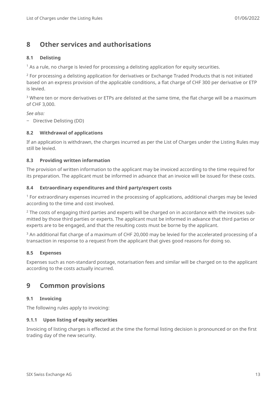## <span id="page-12-0"></span>**8 Other services and authorisations**

#### <span id="page-12-1"></span>**8.1 Delisting**

 $<sup>1</sup>$  As a rule, no charge is levied for processing a delisting application for equity securities.</sup>

<sup>2</sup> For processing a delisting application for derivatives or Exchange Traded Products that is not initiated based on an express provision of the applicable conditions, a flat charge of CHF 300 per derivative or ETP is levied.

<sup>3</sup> Where ten or more derivatives or ETPs are delisted at the same time, the flat charge will be a maximum of CHF 3,000.

*See also:*

‒ Directive Delisting (DD)

#### <span id="page-12-2"></span>**8.2 Withdrawal of applications**

If an application is withdrawn, the charges incurred as per the List of Charges under the Listing Rules may still be levied.

#### <span id="page-12-3"></span>**8.3 Providing written information**

The provision of written information to the applicant may be invoiced according to the time required for its preparation. The applicant must be informed in advance that an invoice will be issued for these costs.

#### <span id="page-12-4"></span>**8.4 Extraordinary expenditures and third party/expert costs**

<sup>1</sup> For extraordinary expenses incurred in the processing of applications, additional charges may be levied according to the time and cost involved.

 $2$  The costs of engaging third parties and experts will be charged on in accordance with the invoices submitted by those third parties or experts. The applicant must be informed in advance that third parties or experts are to be engaged, and that the resulting costs must be borne by the applicant.

<sup>3</sup> An additional flat charge of a maximum of CHF 20,000 may be levied for the accelerated processing of a transaction in response to a request from the applicant that gives good reasons for doing so.

#### <span id="page-12-5"></span>**8.5 Expenses**

Expenses such as non-standard postage, notarisation fees and similar will be charged on to the applicant according to the costs actually incurred.

### <span id="page-12-6"></span>**9 Common provisions**

#### <span id="page-12-7"></span>**9.1 Invoicing**

<span id="page-12-8"></span>The following rules apply to invoicing:

#### **9.1.1 Upon listing of equity securities**

Invoicing of listing charges is effected at the time the formal listing decision is pronounced or on the first trading day of the new security.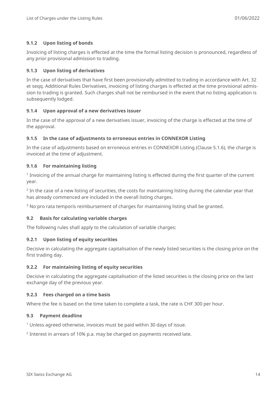#### <span id="page-13-0"></span>**9.1.2 Upon listing of bonds**

Invoicing of listing charges is effected at the time the formal listing decision is pronounced, regardless of any prior provisional admission to trading.

#### <span id="page-13-1"></span>**9.1.3 Upon listing of derivatives**

In the case of derivatives that have first been provisionally admitted to trading in accordance with Art. 32 et seqq. Additional Rules Derivatives, invoicing of listing charges is effected at the time provisional admission to trading is granted. Such charges shall not be reimbursed in the event that no listing application is subsequently lodged.

#### <span id="page-13-2"></span>**9.1.4 Upon approval of a new derivatives issuer**

In the case of the approval of a new derivatives issuer, invoicing of the charge is effected at the time of the approval.

#### <span id="page-13-3"></span>**9.1.5 In the case of adjustments to erroneous entries in CONNEXOR Listing**

In the case of adjustments based on erroneous entries in CONNEXOR Listing (Clause [5.1.6\)](#page-9-4), the charge is invoiced at the time of adjustment.

#### <span id="page-13-4"></span>**9.1.6 For maintaining listing**

<sup>1</sup> Invoicing of the annual charge for maintaining listing is effected during the first quarter of the current year.

 $2$  In the case of a new listing of securities, the costs for maintaining listing during the calendar year that has already commenced are included in the overall listing charges.

<sup>3</sup> No pro rata temporis reimbursement of charges for maintaining listing shall be granted.

#### <span id="page-13-5"></span>**9.2 Basis for calculating variable charges**

<span id="page-13-6"></span>The following rules shall apply to the calculation of variable charges:

#### **9.2.1 Upon listing of equity securities**

Decisive in calculating the aggregate capitalisation of the newly listed securities is the closing price on the first trading day.

#### <span id="page-13-7"></span>**9.2.2 For maintaining listing of equity securities**

Decisive in calculating the aggregate capitalisation of the listed securities is the closing price on the last exchange day of the previous year.

#### <span id="page-13-8"></span>**9.2.3 Fees charged on a time basis**

<span id="page-13-9"></span>Where the fee is based on the time taken to complete a task, the rate is CHF 300 per hour.

#### **9.3 Payment deadline**

<sup>1</sup> Unless agreed otherwise, invoices must be paid within 30 days of issue.

 $2$  Interest in arrears of 10% p.a. may be charged on payments received late.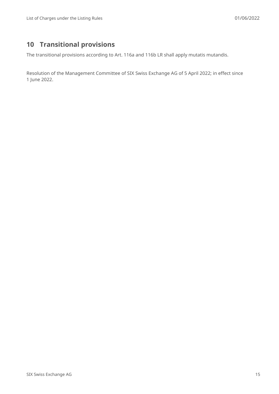# <span id="page-14-0"></span>**10 Transitional provisions**

The transitional provisions according to Art. 116a and 116b LR shall apply mutatis mutandis.

Resolution of the Management Committee of SIX Swiss Exchange AG of 5 April 2022; in effect since 1 June 2022.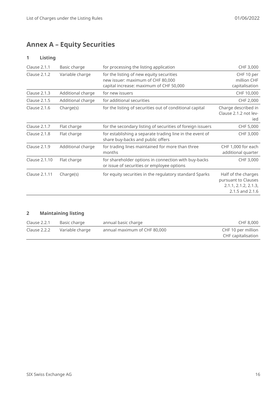# <span id="page-15-0"></span>**Annex A – Equity Securities**

#### **1 Listing**

| Clause 2.1.1        | Basic charge      | for processing the listing application                                                                                   | CHF 3,000                                                                             |
|---------------------|-------------------|--------------------------------------------------------------------------------------------------------------------------|---------------------------------------------------------------------------------------|
| Clause 2.1.2        | Variable charge   | for the listing of new equity securities<br>new issuer: maximum of CHF 80,000<br>capital increase: maximum of CHF 50,000 | CHF 10 per<br>million CHF<br>capitalisation                                           |
| Clause 2.1.3        | Additional charge | for new issuers                                                                                                          | CHF 10,000                                                                            |
| <b>Clause 2.1.5</b> | Additional charge | for additional securities                                                                                                | CHF 2,000                                                                             |
| Clause 2.1.6        | Charge(s)         | for the listing of securities out of conditional capital                                                                 | Charge described in<br>Clause 2.1.2 not lev-<br>ied                                   |
| Clause 2.1.7        | Flat charge       | for the secondary listing of securities of foreign issuers                                                               | CHF 5,000                                                                             |
| Clause 2.1.8        | Flat charge       | for establishing a separate trading line in the event of<br>share buy-backs and public offers                            | CHF 3,000                                                                             |
| Clause 2.1.9        | Additional charge | for trading lines maintained for more than three<br>months                                                               | CHF 1,000 for each<br>additional quarter                                              |
| Clause 2.1.10       | Flat charge       | for shareholder options in connection with buy-backs<br>or issue of securities or employee options                       | CHF 3,000                                                                             |
| Clause 2.1.11       | Charge(s)         | for equity securities in the regulatory standard Sparks                                                                  | Half of the charges<br>pursuant to Clauses<br>2.1.1, 2.1.2, 2.1.3,<br>2.1.5 and 2.1.6 |

#### **2 Maintaining listing**

| Clause 2.2.1 | Basic charge    | annual basic charge          | CHF 8,000          |
|--------------|-----------------|------------------------------|--------------------|
| Clause 2.2.2 | Variable charge | annual maximum of CHF 80,000 | CHF 10 per million |
|              |                 |                              | CHF capitalisation |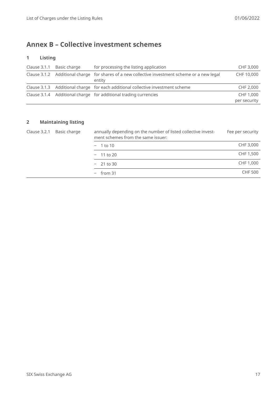## <span id="page-16-0"></span>**Annex B – Collective investment schemes**

#### **1 Listing**

| Clause 3.1.1 Basic charge | for processing the listing application                                                         | CHF 3,000    |
|---------------------------|------------------------------------------------------------------------------------------------|--------------|
|                           | Clause 3.1.2 Additional charge for shares of a new collective investment scheme or a new legal | CHF 10,000   |
|                           | entity                                                                                         |              |
|                           | Clause 3.1.3 Additional charge for each additional collective investment scheme                | CHF 2,000    |
|                           | Clause 3.1.4 Additional charge for additional trading currencies                               | CHF 1,000    |
|                           |                                                                                                | per security |

#### **2 Maintaining listing**

| Clause 3.2.1 | Basic charge | annually depending on the number of listed collective invest-<br>ment schemes from the same issuer: | Fee per security |           |
|--------------|--------------|-----------------------------------------------------------------------------------------------------|------------------|-----------|
|              |              | $-1$ to 10                                                                                          | CHF 3,000        |           |
|              |              |                                                                                                     | $-11$ to 20      | CHF 1,500 |
|              |              |                                                                                                     | $-21$ to 30      | CHF 1,000 |
|              |              | $-$ from 31                                                                                         | <b>CHF 500</b>   |           |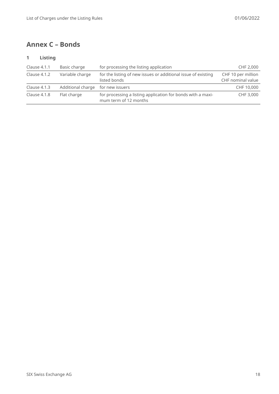## <span id="page-17-0"></span>**Annex C – Bonds**

#### **1 Listing**

| Clause 4.1.1 | Basic charge                      | for processing the listing application                                               | CHF 2,000                               |
|--------------|-----------------------------------|--------------------------------------------------------------------------------------|-----------------------------------------|
| Clause 4.1.2 | Variable charge                   | for the listing of new issues or additional issue of existing<br>listed bonds        | CHF 10 per million<br>CHF nominal value |
| Clause 4.1.3 | Additional charge for new issuers |                                                                                      | CHF 10,000                              |
| Clause 4.1.8 | Flat charge                       | for processing a listing application for bonds with a maxi-<br>mum term of 12 months | CHF 3,000                               |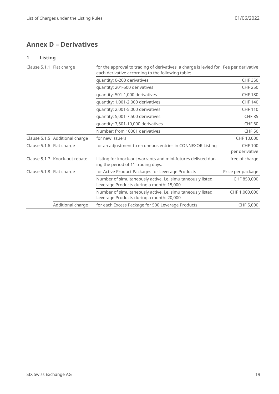## <span id="page-18-0"></span>**Annex D – Derivatives**

#### **1 Listing**

| Clause 5.1.1 Flat charge |                                | for the approval to trading of derivatives, a charge is levied for Fee per derivative<br>each derivative according to the following table: |                                  |
|--------------------------|--------------------------------|--------------------------------------------------------------------------------------------------------------------------------------------|----------------------------------|
|                          |                                | quantity: 0-200 derivatives                                                                                                                | <b>CHF 350</b>                   |
|                          |                                | quantity: 201-500 derivatives                                                                                                              | <b>CHF 250</b>                   |
|                          |                                | quantity: 501-1,000 derivatives                                                                                                            | <b>CHF 180</b>                   |
|                          |                                | quantity: 1,001-2,000 derivatives                                                                                                          | <b>CHF 140</b>                   |
|                          |                                | quantity: 2,001-5,000 derivatives                                                                                                          | <b>CHF 110</b>                   |
|                          |                                | quantity: 5,001-7,500 derivatives                                                                                                          | <b>CHF 85</b>                    |
|                          |                                | quantity: 7,501-10,000 derivatives                                                                                                         | CHF <sub>60</sub>                |
|                          |                                | Number: from 10001 derivatives                                                                                                             | <b>CHF 50</b>                    |
|                          | Clause 5.1.5 Additional charge | for new issuers                                                                                                                            | CHF 10,000                       |
| Clause 5.1.6 Flat charge |                                | for an adjustment to erroneous entries in CONNEXOR Listing                                                                                 | <b>CHF 100</b><br>per derivative |
|                          | Clause 5.1.7 Knock-out rebate  | Listing for knock-out warrants and mini-futures delisted dur-<br>ing the period of 11 trading days.                                        | free of charge                   |
| Clause 5.1.8 Flat charge |                                | for Active Product Packages for Leverage Products                                                                                          | Price per package                |
|                          |                                | Number of simultaneously active, i.e. simultaneously listed,<br>Leverage Products during a month: 15,000                                   | CHF 850,000                      |
|                          |                                | Number of simultaneously active, i.e. simultaneously listed,<br>Leverage Products during a month: 20,000                                   | CHF 1,000,000                    |
|                          | Additional charge              | for each Excess Package for 500 Leverage Products                                                                                          | CHF 5,000                        |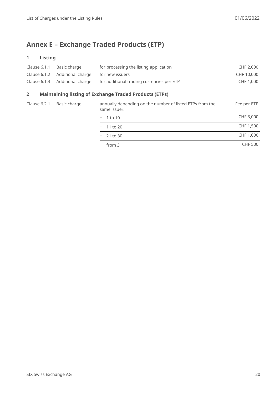# <span id="page-19-0"></span>**Annex E – Exchange Traded Products (ETP)**

#### **1 Listing**

| Clause $6.1.1$ | Basic charge                                   | for processing the listing application    | CHF 2.000  |
|----------------|------------------------------------------------|-------------------------------------------|------------|
|                | Clause 6.1.2 Additional charge for new issuers |                                           | CHF 10.000 |
|                | Clause 6.1.3 Additional charge                 | for additional trading currencies per ETP | CHF 1,000  |

#### **2 Maintaining listing of Exchange Traded Products (ETPs)**

| Clause 6.2.1 | Basic charge | annually depending on the number of listed ETPs from the<br>same issuer: | Fee per ETP    |
|--------------|--------------|--------------------------------------------------------------------------|----------------|
|              |              | $-1$ to 10                                                               | CHF 3,000      |
|              |              | $-11$ to 20                                                              | CHF 1,500      |
|              |              | $-21$ to 30                                                              | CHF 1,000      |
|              |              | $-$ from 31                                                              | <b>CHF 500</b> |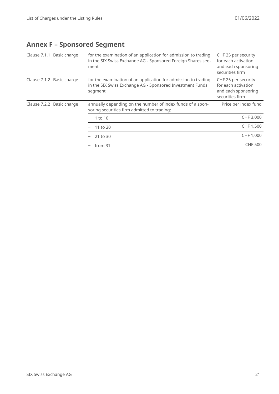# <span id="page-20-0"></span>**Annex F – Sponsored Segment**

| Clause 7.1.1 Basic charge |                           | for the examination of an application for admission to trading<br>in the SIX Swiss Exchange AG - Sponsored Foreign Shares seg-<br>ment | CHF 25 per security<br>for each activation<br>and each sponsoring<br>securities firm |
|---------------------------|---------------------------|----------------------------------------------------------------------------------------------------------------------------------------|--------------------------------------------------------------------------------------|
| Clause 7.1.2 Basic charge |                           | for the examination of an application for admission to trading<br>in the SIX Swiss Exchange AG - Sponsored Investment Funds<br>segment | CHF 25 per security<br>for each activation<br>and each sponsoring<br>securities firm |
|                           | Clause 7.2.2 Basic charge | annually depending on the number of index funds of a spon-<br>soring securities firm admitted to trading:                              | Price per index fund                                                                 |
|                           |                           | 1 to 10                                                                                                                                | CHF 3,000                                                                            |
|                           |                           | 11 to 20                                                                                                                               | CHF 1,500                                                                            |
|                           |                           | 21 to 30                                                                                                                               | CHF 1,000                                                                            |
|                           |                           | from 31                                                                                                                                | <b>CHF 500</b>                                                                       |